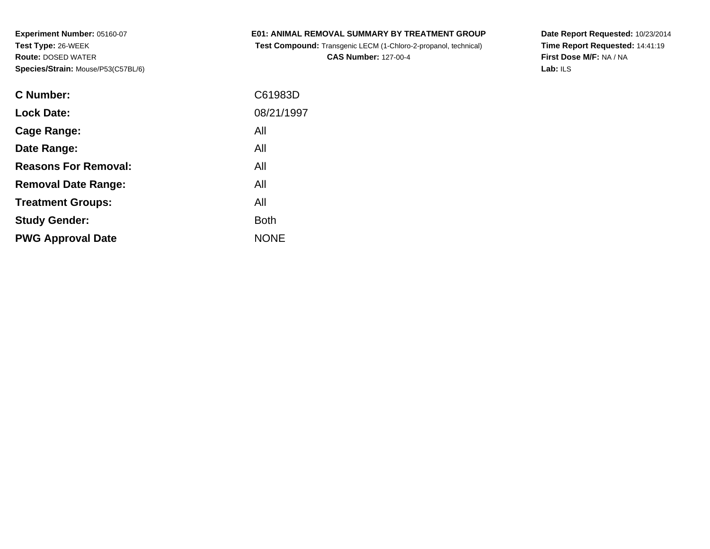| <b>E01: ANIMAL REMOVAL SUMMARY BY TREATMENT GROUP</b> |  |  |  |
|-------------------------------------------------------|--|--|--|
|                                                       |  |  |  |

**Test Compound:** Transgenic LECM (1-Chloro-2-propanol, technical)

**CAS Number:** 127-00-4

**Date Report Requested:** 10/23/2014 **Time Report Requested:** 14:41:19**First Dose M/F:** NA / NA**Lab:** ILS

| C61983D     |
|-------------|
| 08/21/1997  |
| All         |
| All         |
| All         |
| All         |
| All         |
| <b>Both</b> |
| <b>NONE</b> |
|             |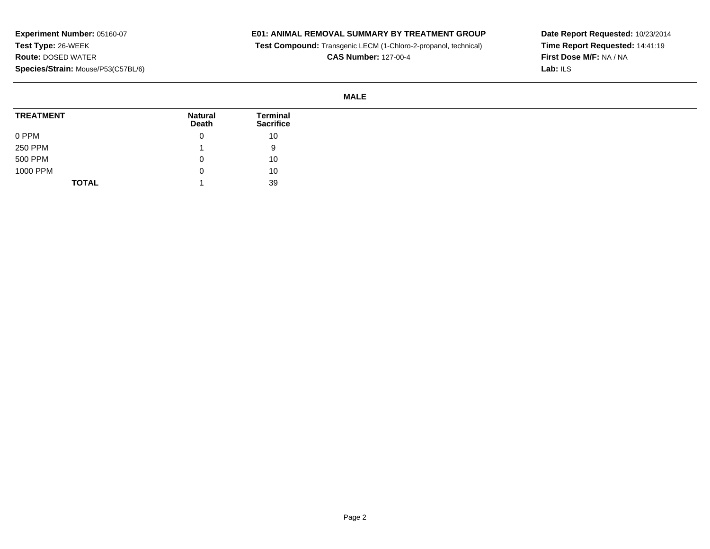## **E01: ANIMAL REMOVAL SUMMARY BY TREATMENT GROUP**

**Test Compound:** Transgenic LECM (1-Chloro-2-propanol, technical)

**CAS Number:** 127-00-4

**Date Report Requested:** 10/23/2014**Time Report Requested:** 14:41:19**First Dose M/F:** NA / NA**Lab:** ILS

### **MALE**

| <b>TREATMENT</b> | <b>Natural</b><br><b>Death</b> | Terminal<br><b>Sacrifice</b> |
|------------------|--------------------------------|------------------------------|
| 0 PPM            | U                              | 10                           |
| <b>250 PPM</b>   |                                | 9                            |
| 500 PPM          | C                              | 10                           |
| 1000 PPM         | U                              | 10                           |
| <b>TOTAL</b>     |                                | 39                           |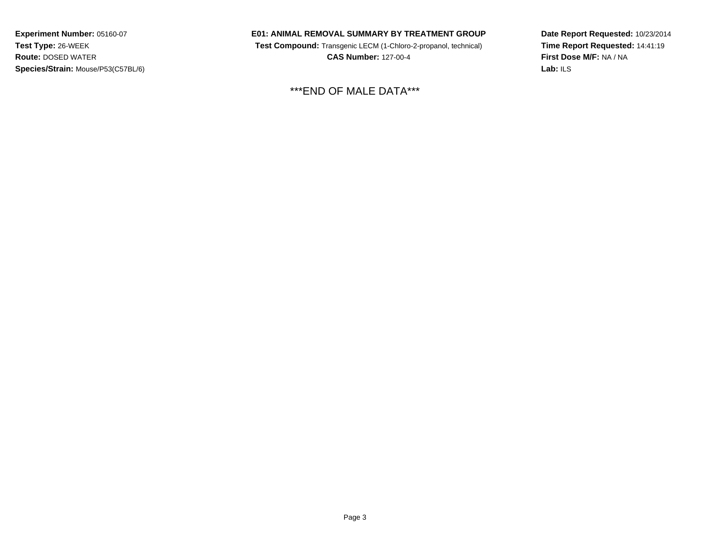### **E01: ANIMAL REMOVAL SUMMARY BY TREATMENT GROUP**

 **Test Compound:** Transgenic LECM (1-Chloro-2-propanol, technical) **CAS Number:** 127-00-4

\*\*\*END OF MALE DATA\*\*\*

**Date Report Requested:** 10/23/2014**Time Report Requested:** 14:41:19**First Dose M/F:** NA / NA**Lab:** ILS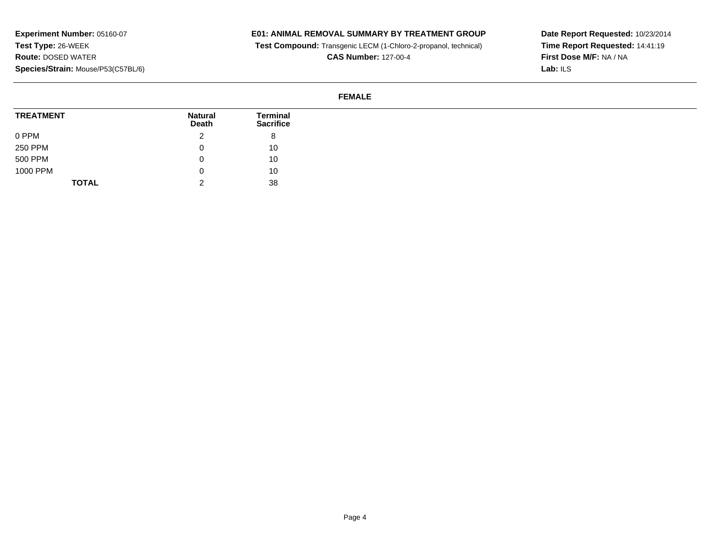# **E01: ANIMAL REMOVAL SUMMARY BY TREATMENT GROUP**

**Test Compound:** Transgenic LECM (1-Chloro-2-propanol, technical)

**CAS Number:** 127-00-4

**Date Report Requested:** 10/23/2014**Time Report Requested:** 14:41:19**First Dose M/F:** NA / NA**Lab:** ILS

### **FEMALE**

| <b>TREATMENT</b> | <b>Natural</b><br>Death | Terminal<br><b>Sacrifice</b> |
|------------------|-------------------------|------------------------------|
| 0 PPM            | <u>_</u>                | 8                            |
| 250 PPM          | O                       | 10                           |
| 500 PPM          |                         | 10                           |
| 1000 PPM         | U                       | 10                           |
| <b>TOTAL</b>     | <u>.</u>                | 38                           |